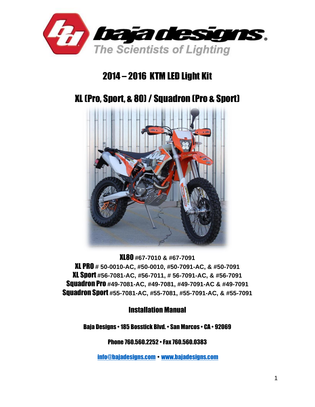

## 2014 – 2016 KTM LED Light Kit

# XL (Pro, Sport, & 80)/ Squadron (Pro & Sport)



XL80 **#67-7010 & #67-7091** XL PRO **# 50-0010-AC, #50-0010, #50-7091-AC, & #50-7091** XL Sport **#56-7081-AC, #56-7011, # 56-7091-AC, & #56-7091** Squadron Pro **#49-7081-AC, #49-7081, #49-7091-AC & #49-7091** Squadron Sport **#55-7081-AC, #55-7081, #55-7091-AC, & #55-7091**

Installation Manual

Baja Designs • 185 Bosstick Blvd. • San Marcos • CA • 92069

Phone 760.560.2252 • Fax 760.560.0383

[info@bajadesigns.com](mailto:info@bajadesigns.com) • [www.bajadesigns.com](http://www.bajadesigns.com/)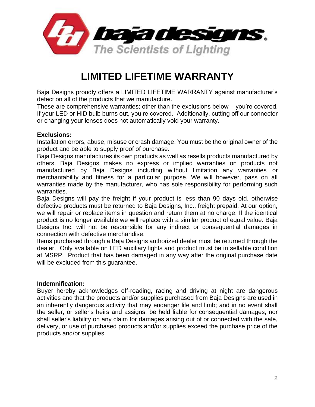

# **LIMITED LIFETIME WARRANTY**

Baja Designs proudly offers a LIMITED LIFETIME WARRANTY against manufacturer's defect on all of the products that we manufacture.

These are comprehensive warranties; other than the exclusions below – you're covered. If your LED or HID bulb burns out, you're covered. Additionally, cutting off our connector or changing your lenses does not automatically void your warranty.

#### **Exclusions:**

Installation errors, abuse, misuse or crash damage. You must be the original owner of the product and be able to supply proof of purchase.

Baja Designs manufactures its own products as well as resells products manufactured by others. Baja Designs makes no express or implied warranties on products not manufactured by Baja Designs including without limitation any warranties or merchantability and fitness for a particular purpose. We will however, pass on all warranties made by the manufacturer, who has sole responsibility for performing such warranties.

Baja Designs will pay the freight if your product is less than 90 days old, otherwise defective products must be returned to Baja Designs, Inc., freight prepaid. At our option, we will repair or replace items in question and return them at no charge. If the identical product is no longer available we will replace with a similar product of equal value. Baja Designs Inc. will not be responsible for any indirect or consequential damages in connection with defective merchandise.

Items purchased through a Baja Designs authorized dealer must be returned through the dealer. Only available on LED auxiliary lights and product must be in sellable condition at MSRP. Product that has been damaged in any way after the original purchase date will be excluded from this guarantee.

#### **Indemnification:**

Buyer hereby acknowledges off-roading, racing and driving at night are dangerous activities and that the products and/or supplies purchased from Baja Designs are used in an inherently dangerous activity that may endanger life and limb; and in no event shall the seller, or seller's heirs and assigns, be held liable for consequential damages, nor shall seller's liability on any claim for damages arising out of or connected with the sale, delivery, or use of purchased products and/or supplies exceed the purchase price of the products and/or supplies.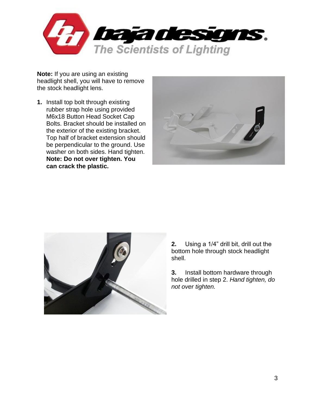

**Note:** If you are using an existing headlight shell, you will have to remove the stock headlight lens.

**1.** Install top bolt through existing rubber strap hole using provided M6x18 Button Head Socket Cap Bolts. Bracket should be installed on the exterior of the existing bracket. Top half of bracket extension should be perpendicular to the ground. Use washer on both sides. Hand tighten. **Note: Do not over tighten. You can crack the plastic.**





**2.** Using a 1/4" drill bit, drill out the bottom hole through stock headlight shell.

**3.** Install bottom hardware through hole drilled in step 2. *Hand tighten, do not over tighten.*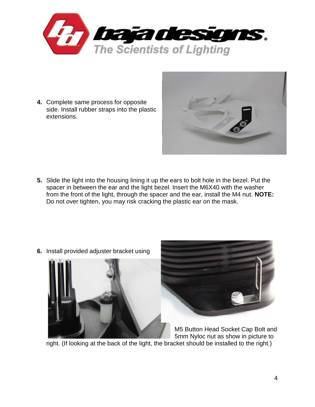

**4.** Complete same process for opposite side. Install rubber straps into the plastic extensions.



**5.** Slide the light into the housing lining it up the ears to bolt hole in the bezel. Put the spacer in between the ear and the light bezel. Insert the M6X40 with the washer from the front of the light, through the spacer and the ear, install the M4 nut. **NOTE:**  Do not over tighten, you may risk cracking the plastic ear on the mask.





M5 Button Head Socket Cap Bolt and 5mm Nyloc nut as show in picture to

right. (If looking at the back of the light, the bracket should be installed to the right.)

**6.** Install provided adjuster bracket using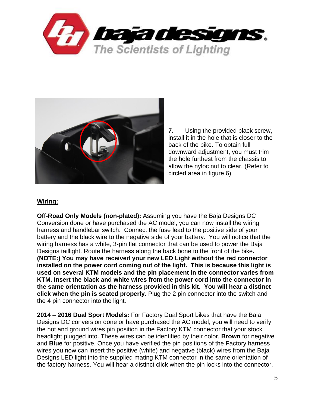



**7.** Using the provided black screw, install it in the hole that is closer to the back of the bike. To obtain full downward adjustment, you must trim the hole furthest from the chassis to allow the nyloc nut to clear. (Refer to circled area in figure 6)

#### **Wiring:**

**Off-Road Only Models (non-plated):** Assuming you have the Baja Designs DC Conversion done or have purchased the AC model, you can now install the wiring harness and handlebar switch. Connect the fuse lead to the positive side of your battery and the black wire to the negative side of your battery. You will notice that the wiring harness has a white, 3-pin flat connector that can be used to power the Baja Designs taillight. Route the harness along the back bone to the front of the bike**. (NOTE:) You may have received your new LED Light without the red connector installed on the power cord coming out of the light. This is because this light is used on several KTM models and the pin placement in the connector varies from KTM. Insert the black and white wires from the power cord into the connector in the same orientation as the harness provided in this kit. You will hear a distinct click when the pin is seated properly.** Plug the 2 pin connector into the switch and the 4 pin connector into the light.

**2014 – 2016 Dual Sport Models:** For Factory Dual Sport bikes that have the Baja Designs DC conversion done or have purchased the AC model, you will need to verify the hot and ground wires pin position in the Factory KTM connector that your stock headlight plugged into. These wires can be identified by their color, **Brown** for negative and **Blue** for positive. Once you have verified the pin positions of the Factory harness wires you now can insert the positive (white) and negative (black) wires from the Baja Designs LED light into the supplied mating KTM connector in the same orientation of the factory harness. You will hear a distinct click when the pin locks into the connector.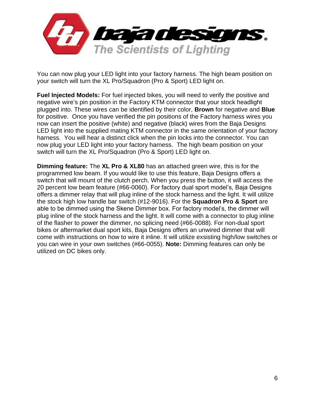

You can now plug your LED light into your factory harness. The high beam position on your switch will turn the XL Pro/Squadron (Pro & Sport) LED light on.

**Fuel Injected Models:** For fuel injected bikes, you will need to verify the positive and negative wire's pin position in the Factory KTM connector that your stock headlight plugged into. These wires can be identified by their color, **Brown** for negative and **Blue** for positive. Once you have verified the pin positions of the Factory harness wires you now can insert the positive (white) and negative (black) wires from the Baja Designs LED light into the supplied mating KTM connector in the same orientation of your factory harness. You will hear a distinct click when the pin locks into the connector. You can now plug your LED light into your factory harness. The high beam position on your switch will turn the XL Pro/Squadron (Pro & Sport) LED light on.

**Dimming feature:** The **XL Pro & XL80** has an attached green wire, this is for the programmed low beam. If you would like to use this feature, Baja Designs offers a switch that will mount of the clutch perch. When you press the button, it will access the 20 percent low beam feature (#66-0060). For factory dual sport model's, Baja Designs offers a dimmer relay that will plug inline of the stock harness and the light. It will utilize the stock high low handle bar switch (#12-9016). For the **Squadron Pro & Sport** are able to be dimmed using the Skene Dimmer box. For factory model's, the dimmer will plug inline of the stock harness and the light. It will come with a connector to plug inline of the flasher to power the dimmer, no splicing need (#66-0088). For non-dual sport bikes or aftermarket dual sport kits, Baja Designs offers an unwired dimmer that will come with instructions on how to wire it inline. It will utilize exsisting high/low switches or you can wire in your own switches (#66-0055). **Note:** Dimming features can only be utilized on DC bikes only.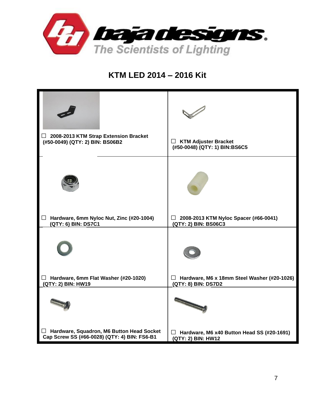

### **KTM LED 2014 – 2016 Kit**

| 2008-2013 KTM Strap Extension Bracket<br>ப<br>(#50-0049) (QTY: 2) BIN: BS06B2             | <b>KTM Adjuster Bracket</b><br>⊔<br>(#50-0048) (QTY: 1) BIN:BS6C5       |
|-------------------------------------------------------------------------------------------|-------------------------------------------------------------------------|
|                                                                                           |                                                                         |
| Hardware, 6mm Nyloc Nut, Zinc (#20-1004)<br>Ш<br>(QTY: 6) BIN: DS7C1                      | 2008-2013 KTM Nyloc Spacer (#66-0041)<br>⊔<br>(QTY: 2) BIN: BS06C3      |
|                                                                                           |                                                                         |
| Hardware, 6mm Flat Washer (#20-1020)<br>ப<br>(QTY: 2) BIN: HW19                           | Hardware, M6 x 18mm Steel Washer (#20-1026)<br>ப<br>(QTY: 8) BIN: DS7D2 |
|                                                                                           |                                                                         |
| Hardware, Squadron, M6 Button Head Socket<br>Cap Screw SS (#66-0028) (QTY: 4) BIN: FS6-B1 | Hardware, M6 x40 Button Head SS (#20-1691)<br>ப<br>(QTY: 2) BIN: HW12   |